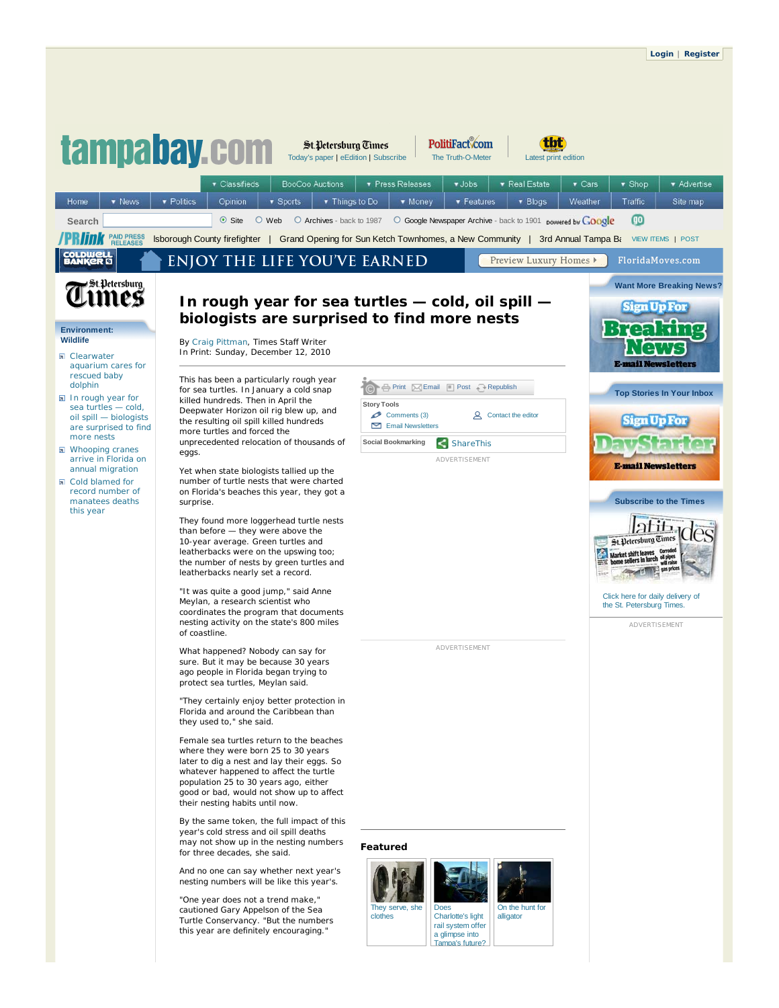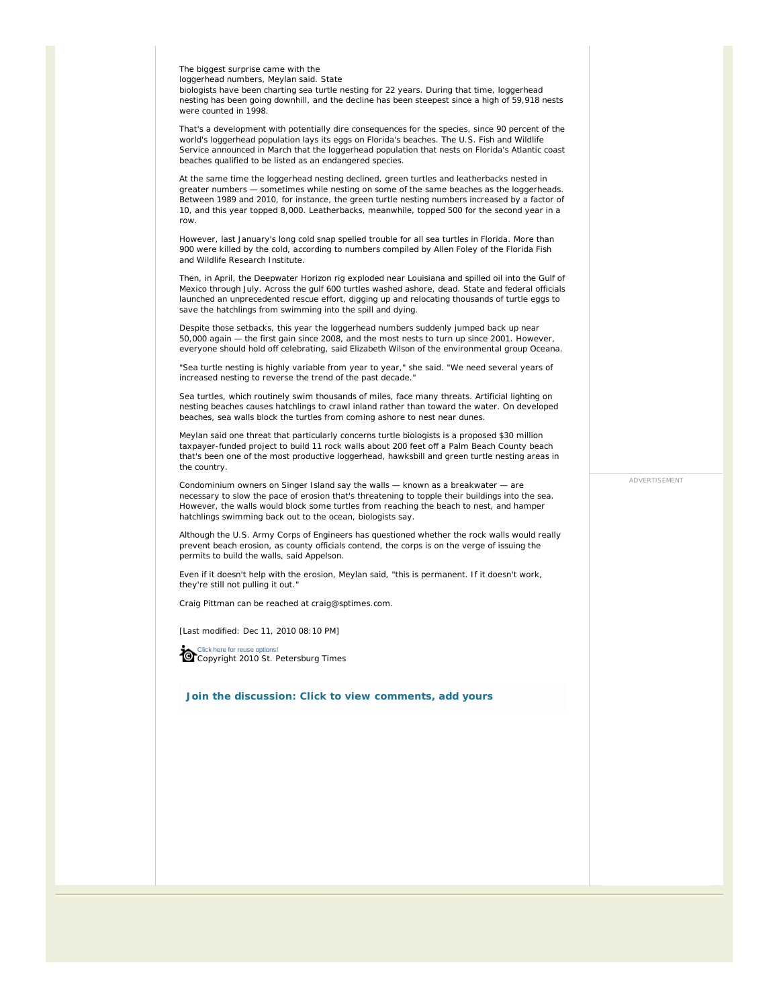The biggest surprise came with the

loggerhead numbers, Meylan said. State

biologists have been charting sea turtle nesting for 22 years. During that time, loggerhead nesting has been going downhill, and the decline has been steepest since a high of 59,918 nests were counted in 1998.

That's a development with potentially dire consequences for the species, since 90 percent of the world's loggerhead population lays its eggs on Florida's beaches. The U.S. Fish and Wildlife Service announced in March that the loggerhead population that nests on Florida's Atlantic coast beaches qualified to be listed as an endangered species.

At the same time the loggerhead nesting declined, green turtles and leatherbacks nested in greater numbers — sometimes while nesting on some of the same beaches as the loggerheads. Between 1989 and 2010, for instance, the green turtle nesting numbers increased by a factor of 10, and this year topped 8,000. Leatherbacks, meanwhile, topped 500 for the second year in a row.

However, last January's long cold snap spelled trouble for all sea turtles in Florida. More than 900 were killed by the cold, according to numbers compiled by Allen Foley of the Florida Fish and Wildlife Research Institute.

Then, in April, the Deepwater Horizon rig exploded near Louisiana and spilled oil into the Gulf of Mexico through July. Across the gulf 600 turtles washed ashore, dead. State and federal officials launched an unprecedented rescue effort, digging up and relocating thousands of turtle eggs to save the hatchlings from swimming into the spill and dying.

Despite those setbacks, this year the loggerhead numbers suddenly jumped back up near 50,000 again — the first gain since 2008, and the most nests to turn up since 2001. However, everyone should hold off celebrating, said Elizabeth Wilson of the environmental group Oceana.

"Sea turtle nesting is highly variable from year to year," she said. "We need several years of increased nesting to reverse the trend of the past decade."

Sea turtles, which routinely swim thousands of miles, face many threats. Artificial lighting on nesting beaches causes hatchlings to crawl inland rather than toward the water. On developed beaches, sea walls block the turtles from coming ashore to nest near dunes.

Meylan said one threat that particularly concerns turtle biologists is a proposed \$30 million taxpayer-funded project to build 11 rock walls about 200 feet off a Palm Beach County beach that's been one of the most productive loggerhead, hawksbill and green turtle nesting areas in the country.

Condominium owners on Singer Island say the walls — known as a breakwater — are necessary to slow the pace of erosion that's threatening to topple their buildings into the sea. However, the walls would block some turtles from reaching the beach to nest, and hamper hatchlings swimming back out to the ocean, biologists say.

Although the U.S. Army Corps of Engineers has questioned whether the rock walls would really prevent beach erosion, as county officials contend, the corps is on the verge of issuing the permits to build the walls, said Appelson.

Even if it doesn't help with the erosion, Meylan said, "this is permanent. If it doesn't work, they're still not pulling it out."

*Craig Pittman can be reached at craig@sptimes.com.*

[Last modified: Dec 11, 2010 08:10 PM]

Click here for reuse options! Copyright 2010 St. Petersburg Times

**Join the discussion: Click to view comments, add yours**

ADVERTISEMENT